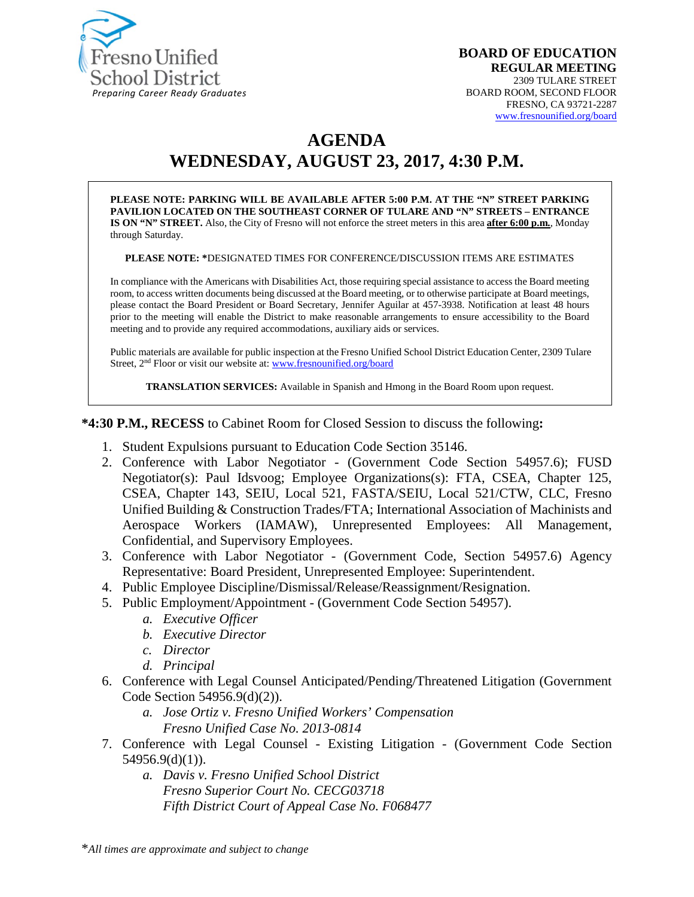

# **AGENDA WEDNESDAY, AUGUST 23, 2017, 4:30 P.M.**

**PLEASE NOTE: PARKING WILL BE AVAILABLE AFTER 5:00 P.M. AT THE "N" STREET PARKING PAVILION LOCATED ON THE SOUTHEAST CORNER OF TULARE AND "N" STREETS – ENTRANCE IS ON "N" STREET.** Also, the City of Fresno will not enforce the street meters in this area **after 6:00 p.m.**, Monday through Saturday.

**PLEASE NOTE: \***DESIGNATED TIMES FOR CONFERENCE/DISCUSSION ITEMS ARE ESTIMATES

In compliance with the Americans with Disabilities Act, those requiring special assistance to access the Board meeting room, to access written documents being discussed at the Board meeting, or to otherwise participate at Board meetings, please contact the Board President or Board Secretary, Jennifer Aguilar at 457-3938. Notification at least 48 hours prior to the meeting will enable the District to make reasonable arrangements to ensure accessibility to the Board meeting and to provide any required accommodations, auxiliary aids or services.

Public materials are available for public inspection at the Fresno Unified School District Education Center, 2309 Tulare Street, 2nd Floor or visit our website at: [www.fresnounified.org/board](http://www.fresnounified.org/board)

**TRANSLATION SERVICES:** Available in Spanish and Hmong in the Board Room upon request.

**\*4:30 P.M., RECESS** to Cabinet Room for Closed Session to discuss the following**:**

- 1. Student Expulsions pursuant to Education Code Section 35146.
- 2. Conference with Labor Negotiator (Government Code Section 54957.6); FUSD Negotiator(s): Paul Idsvoog; Employee Organizations(s): FTA, CSEA, Chapter 125, CSEA, Chapter 143, SEIU, Local 521, FASTA/SEIU, Local 521/CTW, CLC, Fresno Unified Building & Construction Trades/FTA; International Association of Machinists and Aerospace Workers (IAMAW), Unrepresented Employees: All Management, Confidential, and Supervisory Employees.
- 3. Conference with Labor Negotiator (Government Code, Section 54957.6) Agency Representative: Board President, Unrepresented Employee: Superintendent.
- 4. Public Employee Discipline/Dismissal/Release/Reassignment/Resignation.
- 5. Public Employment/Appointment (Government Code Section 54957).
	- *a. Executive Officer*
	- *b. Executive Director*
	- *c. Director*
	- *d. Principal*
- 6. Conference with Legal Counsel Anticipated/Pending/Threatened Litigation (Government Code Section 54956.9(d)(2)).
	- *a. Jose Ortiz v. Fresno Unified Workers' Compensation Fresno Unified Case No. 2013-0814*
- 7. Conference with Legal Counsel Existing Litigation (Government Code Section 54956.9(d)(1)).
	- *a. Davis v. Fresno Unified School District Fresno Superior Court No. CECG03718 Fifth District Court of Appeal Case No. F068477*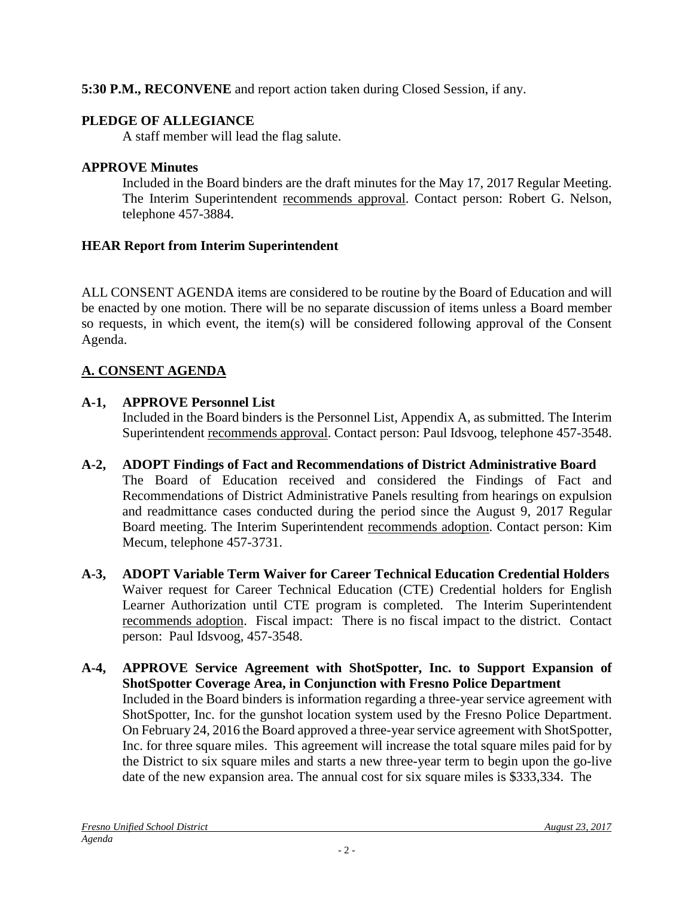# **5:30 P.M., RECONVENE** and report action taken during Closed Session, if any.

# **PLEDGE OF ALLEGIANCE**

A staff member will lead the flag salute.

# **APPROVE Minutes**

Included in the Board binders are the draft minutes for the May 17, 2017 Regular Meeting. The Interim Superintendent recommends approval. Contact person: Robert G. Nelson, telephone 457-3884.

# **HEAR Report from Interim Superintendent**

ALL CONSENT AGENDA items are considered to be routine by the Board of Education and will be enacted by one motion. There will be no separate discussion of items unless a Board member so requests, in which event, the item(s) will be considered following approval of the Consent Agenda.

# **A. CONSENT AGENDA**

# **A-1, APPROVE Personnel List**

Included in the Board binders is the Personnel List, Appendix A, as submitted. The Interim Superintendent recommends approval. Contact person: Paul Idsvoog, telephone 457-3548.

- **A-2, ADOPT Findings of Fact and Recommendations of District Administrative Board** The Board of Education received and considered the Findings of Fact and Recommendations of District Administrative Panels resulting from hearings on expulsion and readmittance cases conducted during the period since the August 9, 2017 Regular Board meeting. The Interim Superintendent recommends adoption. Contact person: Kim Mecum, telephone 457-3731.
- **A-3, ADOPT Variable Term Waiver for Career Technical Education Credential Holders** Waiver request for Career Technical Education (CTE) Credential holders for English Learner Authorization until CTE program is completed. The Interim Superintendent recommends adoption. Fiscal impact: There is no fiscal impact to the district. Contact person: Paul Idsvoog, 457-3548.
- **A-4, APPROVE Service Agreement with ShotSpotter, Inc. to Support Expansion of ShotSpotter Coverage Area, in Conjunction with Fresno Police Department** Included in the Board binders is information regarding a three-year service agreement with ShotSpotter, Inc. for the gunshot location system used by the Fresno Police Department. On February 24, 2016 the Board approved a three-year service agreement with ShotSpotter, Inc. for three square miles. This agreement will increase the total square miles paid for by the District to six square miles and starts a new three-year term to begin upon the go-live date of the new expansion area. The annual cost for six square miles is \$333,334. The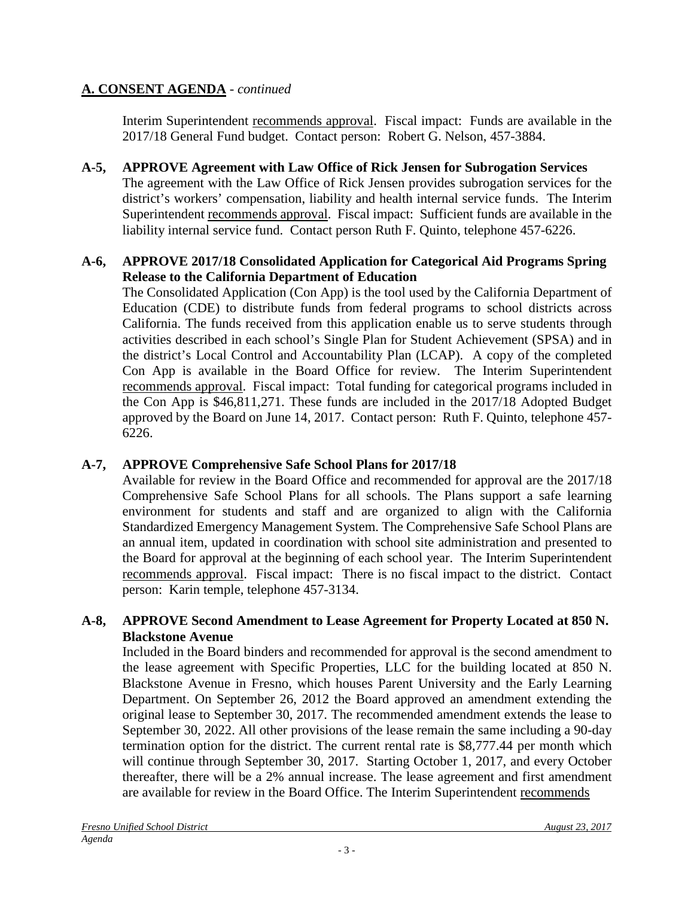Interim Superintendent recommends approval. Fiscal impact: Funds are available in the 2017/18 General Fund budget. Contact person: Robert G. Nelson, 457-3884.

**A-5, APPROVE Agreement with Law Office of Rick Jensen for Subrogation Services** The agreement with the Law Office of Rick Jensen provides subrogation services for the district's workers' compensation, liability and health internal service funds. The Interim Superintendent recommends approval. Fiscal impact: Sufficient funds are available in the liability internal service fund. Contact person Ruth F. Quinto, telephone 457-6226.

# **A-6, APPROVE 2017/18 Consolidated Application for Categorical Aid Programs Spring Release to the California Department of Education**

The Consolidated Application (Con App) is the tool used by the California Department of Education (CDE) to distribute funds from federal programs to school districts across California. The funds received from this application enable us to serve students through activities described in each school's Single Plan for Student Achievement (SPSA) and in the district's Local Control and Accountability Plan (LCAP). A copy of the completed Con App is available in the Board Office for review. The Interim Superintendent recommends approval. Fiscal impact: Total funding for categorical programs included in the Con App is \$46,811,271. These funds are included in the 2017/18 Adopted Budget approved by the Board on June 14, 2017. Contact person: Ruth F. Quinto, telephone 457- 6226.

# **A-7, APPROVE Comprehensive Safe School Plans for 2017/18**

Available for review in the Board Office and recommended for approval are the 2017/18 Comprehensive Safe School Plans for all schools. The Plans support a safe learning environment for students and staff and are organized to align with the California Standardized Emergency Management System. The Comprehensive Safe School Plans are an annual item, updated in coordination with school site administration and presented to the Board for approval at the beginning of each school year. The Interim Superintendent recommends approval. Fiscal impact: There is no fiscal impact to the district. Contact person: Karin temple, telephone 457-3134.

# **A-8, APPROVE Second Amendment to Lease Agreement for Property Located at 850 N. Blackstone Avenue**

Included in the Board binders and recommended for approval is the second amendment to the lease agreement with Specific Properties, LLC for the building located at 850 N. Blackstone Avenue in Fresno, which houses Parent University and the Early Learning Department. On September 26, 2012 the Board approved an amendment extending the original lease to September 30, 2017. The recommended amendment extends the lease to September 30, 2022. All other provisions of the lease remain the same including a 90-day termination option for the district. The current rental rate is \$8,777.44 per month which will continue through September 30, 2017. Starting October 1, 2017, and every October thereafter, there will be a 2% annual increase. The lease agreement and first amendment are available for review in the Board Office. The Interim Superintendent recommends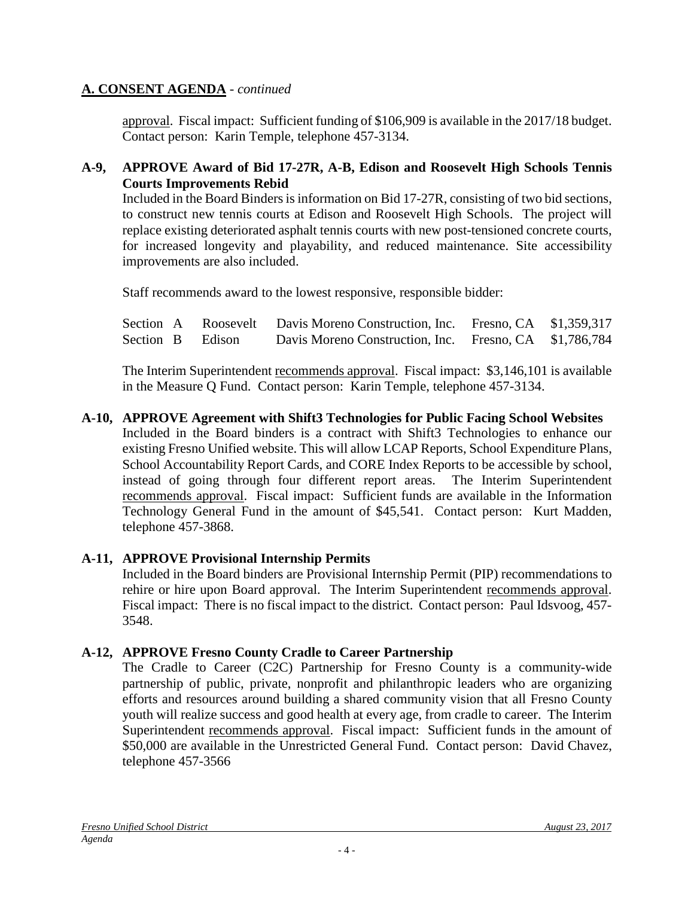approval. Fiscal impact: Sufficient funding of \$106,909 is available in the 2017/18 budget. Contact person: Karin Temple, telephone 457-3134.

#### **A-9, APPROVE Award of Bid 17-27R, A-B, Edison and Roosevelt High Schools Tennis Courts Improvements Rebid**

Included in the Board Binders is information on Bid 17-27R, consisting of two bid sections, to construct new tennis courts at Edison and Roosevelt High Schools. The project will replace existing deteriorated asphalt tennis courts with new post-tensioned concrete courts, for increased longevity and playability, and reduced maintenance. Site accessibility improvements are also included.

Staff recommends award to the lowest responsive, responsible bidder:

|  |                  | Section A Roosevelt Davis Moreno Construction, Inc. Fresno, CA \$1,359,317 |  |
|--|------------------|----------------------------------------------------------------------------|--|
|  | Section B Edison | Davis Moreno Construction, Inc. Fresno, CA \$1,786,784                     |  |

The Interim Superintendent recommends approval. Fiscal impact: \$3,146,101 is available in the Measure Q Fund. Contact person: Karin Temple, telephone 457-3134.

**A-10, APPROVE Agreement with Shift3 Technologies for Public Facing School Websites** Included in the Board binders is a contract with Shift3 Technologies to enhance our existing Fresno Unified website. This will allow LCAP Reports, School Expenditure Plans, School Accountability Report Cards, and CORE Index Reports to be accessible by school, instead of going through four different report areas. The Interim Superintendent recommends approval. Fiscal impact: Sufficient funds are available in the Information Technology General Fund in the amount of \$45,541. Contact person: Kurt Madden, telephone 457-3868.

# **A-11, APPROVE Provisional Internship Permits**

Included in the Board binders are Provisional Internship Permit (PIP) recommendations to rehire or hire upon Board approval. The Interim Superintendent recommends approval. Fiscal impact: There is no fiscal impact to the district. Contact person: Paul Idsvoog, 457- 3548.

#### **A-12, APPROVE Fresno County Cradle to Career Partnership**

The Cradle to Career (C2C) Partnership for Fresno County is a community-wide partnership of public, private, nonprofit and philanthropic leaders who are organizing efforts and resources around building a shared community vision that all Fresno County youth will realize success and good health at every age, from cradle to career. The Interim Superintendent recommends approval. Fiscal impact: Sufficient funds in the amount of \$50,000 are available in the Unrestricted General Fund. Contact person: David Chavez, telephone 457-3566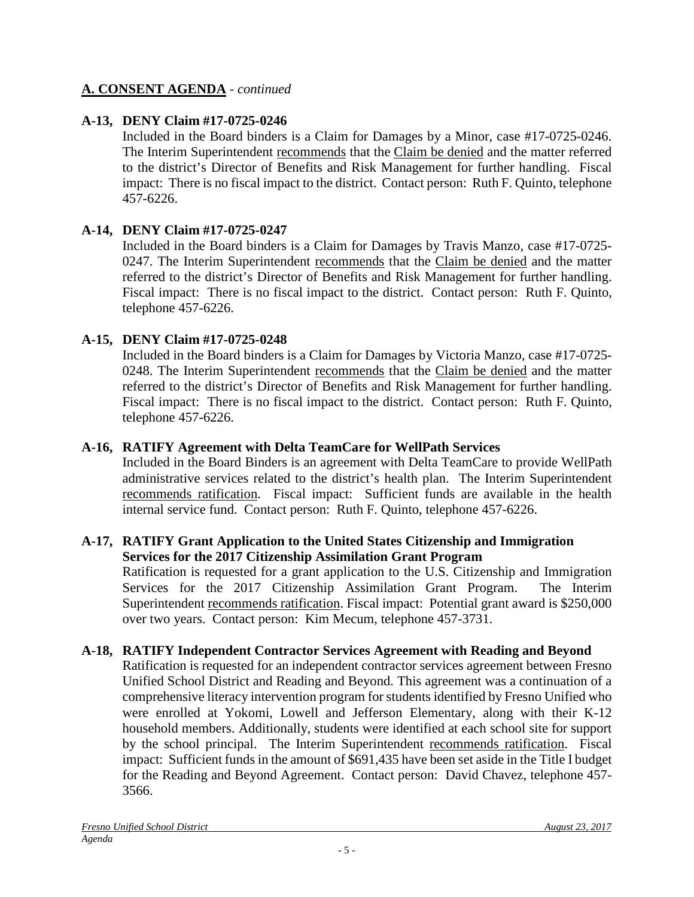# **A-13, DENY Claim #17-0725-0246**

Included in the Board binders is a Claim for Damages by a Minor, case #17-0725-0246. The Interim Superintendent recommends that the Claim be denied and the matter referred to the district's Director of Benefits and Risk Management for further handling. Fiscal impact: There is no fiscal impact to the district. Contact person: Ruth F. Quinto, telephone 457-6226.

# **A-14, DENY Claim #17-0725-0247**

Included in the Board binders is a Claim for Damages by Travis Manzo, case #17-0725- 0247. The Interim Superintendent recommends that the Claim be denied and the matter referred to the district's Director of Benefits and Risk Management for further handling. Fiscal impact: There is no fiscal impact to the district. Contact person: Ruth F. Quinto, telephone 457-6226.

# **A-15, DENY Claim #17-0725-0248**

Included in the Board binders is a Claim for Damages by Victoria Manzo, case #17-0725- 0248. The Interim Superintendent recommends that the Claim be denied and the matter referred to the district's Director of Benefits and Risk Management for further handling. Fiscal impact: There is no fiscal impact to the district. Contact person: Ruth F. Quinto, telephone 457-6226.

# **A-16, RATIFY Agreement with Delta TeamCare for WellPath Services**

Included in the Board Binders is an agreement with Delta TeamCare to provide WellPath administrative services related to the district's health plan. The Interim Superintendent recommends ratification. Fiscal impact: Sufficient funds are available in the health internal service fund. Contact person: Ruth F. Quinto, telephone 457-6226.

#### **A-17, RATIFY Grant Application to the United States Citizenship and Immigration Services for the 2017 Citizenship Assimilation Grant Program**

Ratification is requested for a grant application to the U.S. Citizenship and Immigration Services for the 2017 Citizenship Assimilation Grant Program. The Interim Superintendent recommends ratification. Fiscal impact: Potential grant award is \$250,000 over two years. Contact person: Kim Mecum, telephone 457-3731.

# **A-18, RATIFY Independent Contractor Services Agreement with Reading and Beyond**

Ratification is requested for an independent contractor services agreement between Fresno Unified School District and Reading and Beyond. This agreement was a continuation of a comprehensive literacy intervention program for students identified by Fresno Unified who were enrolled at Yokomi, Lowell and Jefferson Elementary, along with their K-12 household members. Additionally, students were identified at each school site for support by the school principal. The Interim Superintendent recommends ratification. Fiscal impact: Sufficient funds in the amount of \$691,435 have been set aside in the Title I budget for the Reading and Beyond Agreement. Contact person: David Chavez, telephone 457- 3566.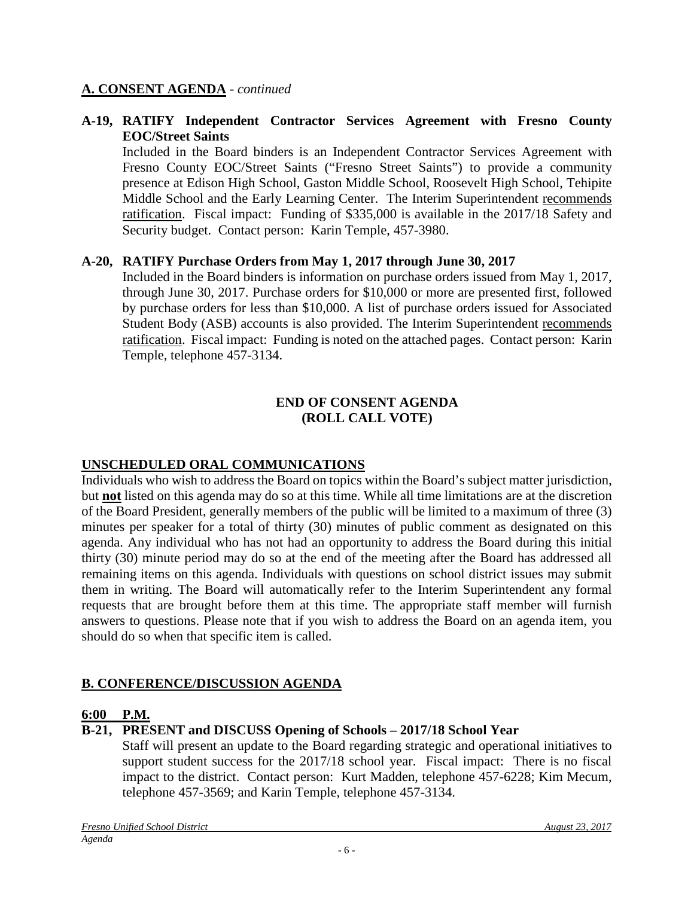#### **A-19, RATIFY Independent Contractor Services Agreement with Fresno County EOC/Street Saints**

Included in the Board binders is an Independent Contractor Services Agreement with Fresno County EOC/Street Saints ("Fresno Street Saints") to provide a community presence at Edison High School, Gaston Middle School, Roosevelt High School, Tehipite Middle School and the Early Learning Center. The Interim Superintendent recommends ratification. Fiscal impact: Funding of \$335,000 is available in the 2017/18 Safety and Security budget. Contact person: Karin Temple, 457-3980.

#### **A-20, RATIFY Purchase Orders from May 1, 2017 through June 30, 2017**

Included in the Board binders is information on purchase orders issued from May 1, 2017, through June 30, 2017. Purchase orders for \$10,000 or more are presented first, followed by purchase orders for less than \$10,000. A list of purchase orders issued for Associated Student Body (ASB) accounts is also provided. The Interim Superintendent recommends ratification. Fiscal impact: Funding is noted on the attached pages. Contact person: Karin Temple, telephone 457-3134.

#### **END OF CONSENT AGENDA (ROLL CALL VOTE)**

# **UNSCHEDULED ORAL COMMUNICATIONS**

Individuals who wish to address the Board on topics within the Board's subject matter jurisdiction, but **not** listed on this agenda may do so at this time. While all time limitations are at the discretion of the Board President, generally members of the public will be limited to a maximum of three (3) minutes per speaker for a total of thirty (30) minutes of public comment as designated on this agenda. Any individual who has not had an opportunity to address the Board during this initial thirty (30) minute period may do so at the end of the meeting after the Board has addressed all remaining items on this agenda. Individuals with questions on school district issues may submit them in writing. The Board will automatically refer to the Interim Superintendent any formal requests that are brought before them at this time. The appropriate staff member will furnish answers to questions. Please note that if you wish to address the Board on an agenda item, you should do so when that specific item is called.

# **B. CONFERENCE/DISCUSSION AGENDA**

#### **6:00 P.M.**

# **B-21, PRESENT and DISCUSS Opening of Schools – 2017/18 School Year**

Staff will present an update to the Board regarding strategic and operational initiatives to support student success for the 2017/18 school year. Fiscal impact: There is no fiscal impact to the district. Contact person: Kurt Madden, telephone 457-6228; Kim Mecum, telephone 457-3569; and Karin Temple, telephone 457-3134.